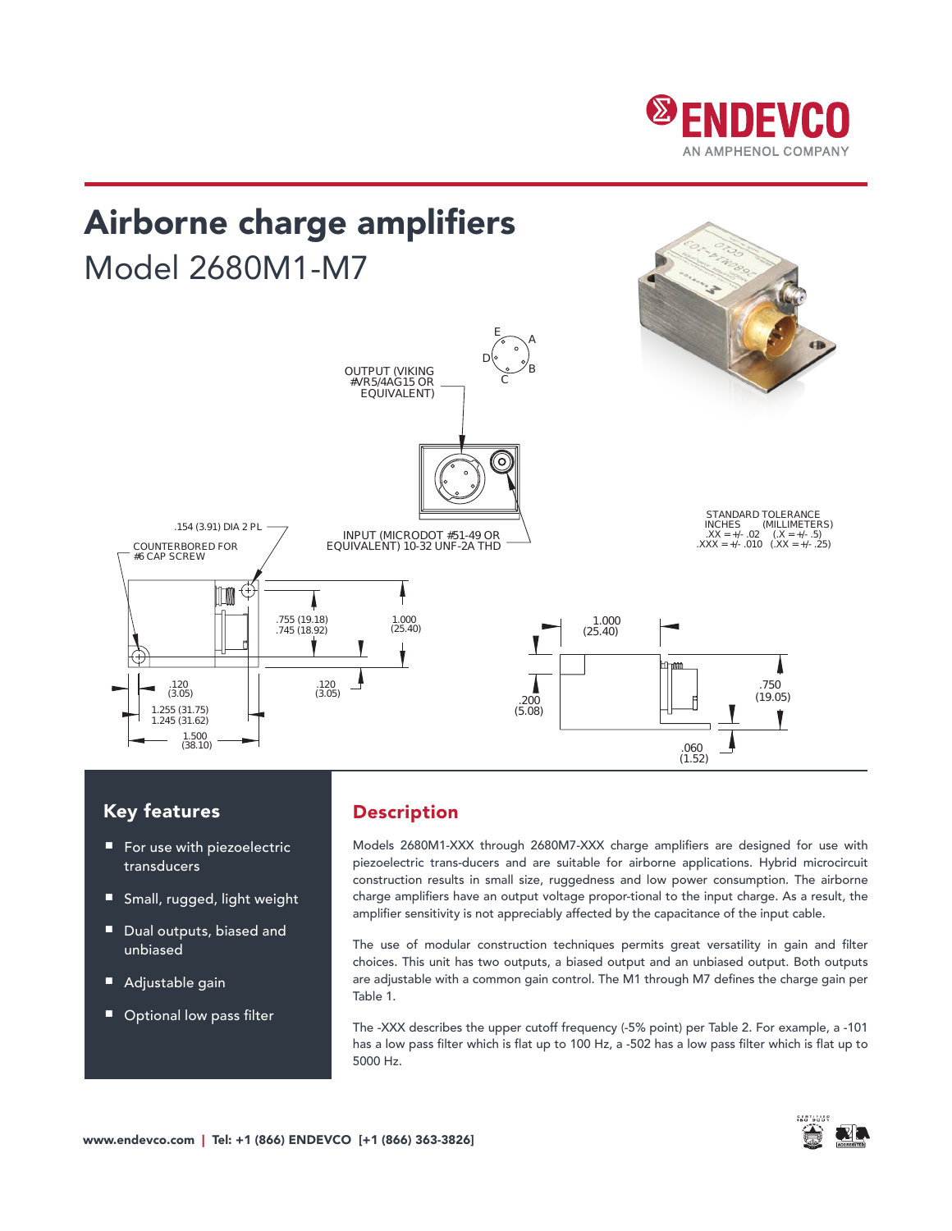



# Key features

- For use with piezoelectric transducers
- Small, rugged, light weight
- Dual outputs, biased and unbiased STANDARD TOLERANCE
- Adjustable gain
- Optional low pass filter

### Description

Models 2680M1-XXX through 2680M7-XXX charge amplifiers are designed for use with piezoelectric trans-ducers and are suitable for airborne applications. Hybrid microcircuit construction results in small size, ruggedness and low power consumption. The airborne charge amplifiers have an output voltage propor-tional to the input charge. As a result, the amplifier sensitivity is not appreciably affected by the capacitance of the input cable.

The use of modular construction techniques permits great versatility in gain and filter choices. This unit has two outputs, a biased output and an unbiased output. Both outputs are adjustable with a common gain control. The M1 through M7 defines the charge gain per the charge gain per Table 1. .  $X = \frac{1}{2}$  ,  $X = \frac{1}{2}$  ,  $X = \frac{1}{2}$  ,  $X = \frac{1}{2}$  ,  $X = \frac{1}{2}$  ,  $X = \frac{1}{2}$  ,  $X = \frac{1}{2}$ 

> The -XXX describes the upper cutoff frequency (-5% point) per Table 2. For example, a -101 has a low pass filter which is flat up to 100 Hz, a -502 has a low pass filter which is flat up to 5000 Hz.

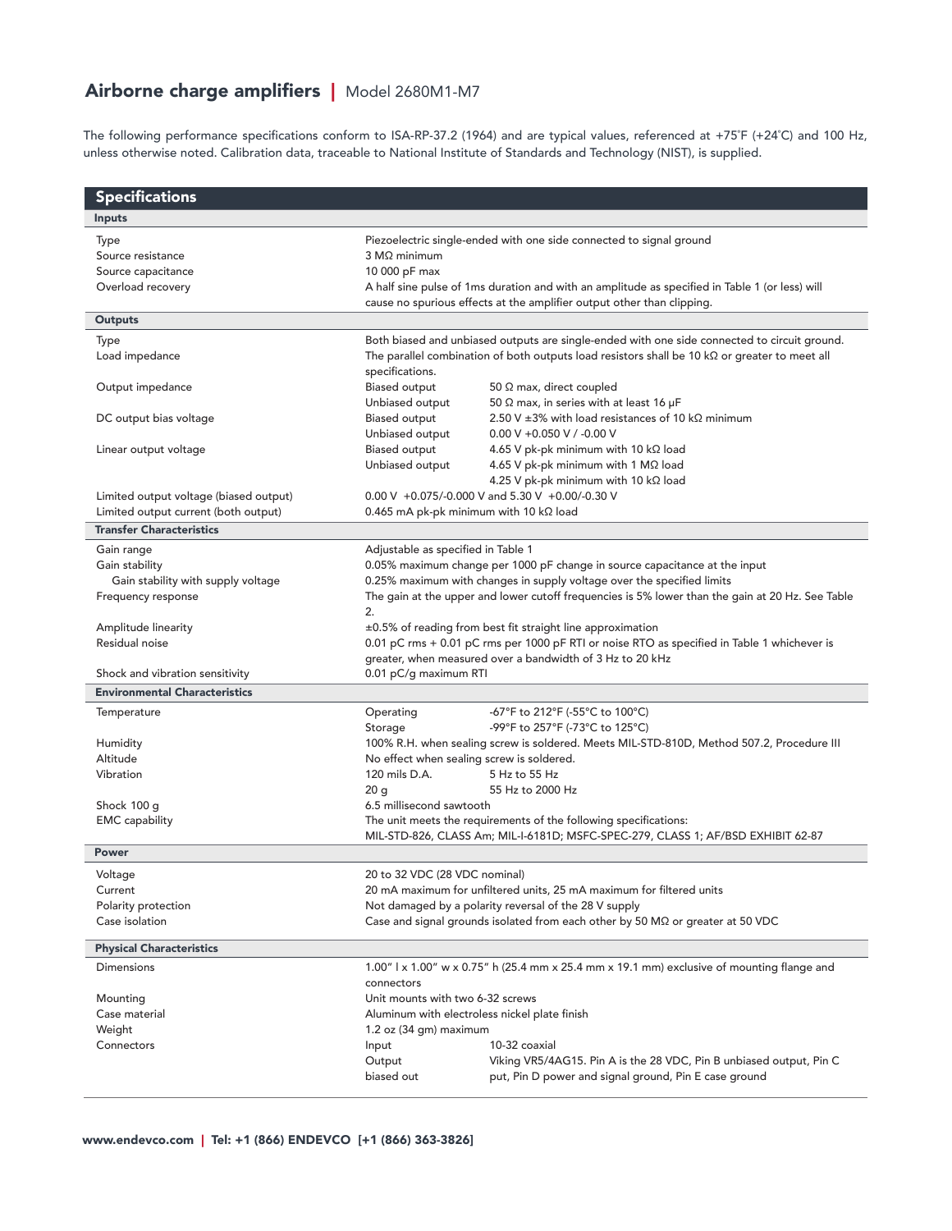## Airborne charge amplifiers | Model 2680M1-M7

The following performance specifications conform to ISA-RP-37.2 (1964) and are typical values, referenced at +75˚F (+24˚C) and 100 Hz, unless otherwise noted. Calibration data, traceable to National Institute of Standards and Technology (NIST), is supplied.

| <b>Specifications</b>                  |                                                                                                                                                          |                                                                                                                         |  |
|----------------------------------------|----------------------------------------------------------------------------------------------------------------------------------------------------------|-------------------------------------------------------------------------------------------------------------------------|--|
| <b>Inputs</b>                          |                                                                                                                                                          |                                                                                                                         |  |
| Type                                   | Piezoelectric single-ended with one side connected to signal ground                                                                                      |                                                                                                                         |  |
| Source resistance                      | $3 M\Omega$ minimum                                                                                                                                      |                                                                                                                         |  |
| Source capacitance                     | 10 000 pF max                                                                                                                                            |                                                                                                                         |  |
| Overload recovery                      |                                                                                                                                                          | A half sine pulse of 1ms duration and with an amplitude as specified in Table 1 (or less) will                          |  |
|                                        | cause no spurious effects at the amplifier output other than clipping.                                                                                   |                                                                                                                         |  |
| <b>Outputs</b>                         |                                                                                                                                                          |                                                                                                                         |  |
| Type                                   | Both biased and unbiased outputs are single-ended with one side connected to circuit ground.                                                             |                                                                                                                         |  |
| Load impedance                         | The parallel combination of both outputs load resistors shall be 10 $\mathrm{k}\Omega$ or greater to meet all<br>specifications.                         |                                                                                                                         |  |
| Output impedance                       | <b>Biased output</b>                                                                                                                                     | 50 $\Omega$ max, direct coupled                                                                                         |  |
|                                        | Unbiased output                                                                                                                                          | 50 $\Omega$ max, in series with at least 16 µF                                                                          |  |
| DC output bias voltage                 | Biased output                                                                                                                                            | 2.50 V $\pm$ 3% with load resistances of 10 k $\Omega$ minimum                                                          |  |
|                                        | Unbiased output                                                                                                                                          | $0.00$ V +0.050 V / -0.00 V                                                                                             |  |
| Linear output voltage                  | <b>Biased output</b>                                                                                                                                     | 4.65 V pk-pk minimum with 10 kΩ load                                                                                    |  |
|                                        | Unbiased output                                                                                                                                          | 4.65 V pk-pk minimum with 1 MΩ load                                                                                     |  |
|                                        |                                                                                                                                                          | 4.25 V pk-pk minimum with 10 kΩ load                                                                                    |  |
| Limited output voltage (biased output) |                                                                                                                                                          | 0.00 V +0.075/-0.000 V and 5.30 V +0.00/-0.30 V                                                                         |  |
| Limited output current (both output)   | $0.465$ mA pk-pk minimum with 10 k $\Omega$ load                                                                                                         |                                                                                                                         |  |
| <b>Transfer Characteristics</b>        |                                                                                                                                                          |                                                                                                                         |  |
| Gain range                             | Adjustable as specified in Table 1                                                                                                                       |                                                                                                                         |  |
| Gain stability                         |                                                                                                                                                          | 0.05% maximum change per 1000 pF change in source capacitance at the input                                              |  |
| Gain stability with supply voltage     |                                                                                                                                                          | 0.25% maximum with changes in supply voltage over the specified limits                                                  |  |
| Frequency response                     |                                                                                                                                                          | The gain at the upper and lower cutoff frequencies is 5% lower than the gain at 20 Hz. See Table                        |  |
|                                        | 2.                                                                                                                                                       |                                                                                                                         |  |
| Amplitude linearity                    |                                                                                                                                                          | ±0.5% of reading from best fit straight line approximation                                                              |  |
| Residual noise                         | 0.01 pC rms + 0.01 pC rms per 1000 pF RTI or noise RTO as specified in Table 1 whichever is<br>greater, when measured over a bandwidth of 3 Hz to 20 kHz |                                                                                                                         |  |
| Shock and vibration sensitivity        | 0.01 pC/g maximum RTI                                                                                                                                    |                                                                                                                         |  |
| <b>Environmental Characteristics</b>   |                                                                                                                                                          |                                                                                                                         |  |
| Temperature                            | Operating                                                                                                                                                | -67°F to 212°F (-55°C to 100°C)                                                                                         |  |
|                                        | Storage                                                                                                                                                  | -99°F to 257°F (-73°C to 125°C)                                                                                         |  |
| Humidity                               |                                                                                                                                                          | 100% R.H. when sealing screw is soldered. Meets MIL-STD-810D, Method 507.2, Procedure III                               |  |
| Altitude                               | No effect when sealing screw is soldered.                                                                                                                |                                                                                                                         |  |
| Vibration                              | 120 mils D.A.                                                                                                                                            | 5 Hz to 55 Hz                                                                                                           |  |
|                                        | 20q                                                                                                                                                      | 55 Hz to 2000 Hz                                                                                                        |  |
| Shock 100 g                            | 6.5 millisecond sawtooth                                                                                                                                 |                                                                                                                         |  |
| <b>EMC</b> capability                  |                                                                                                                                                          | The unit meets the requirements of the following specifications:                                                        |  |
|                                        |                                                                                                                                                          | MIL-STD-826, CLASS Am; MIL-I-6181D; MSFC-SPEC-279, CLASS 1; AF/BSD EXHIBIT 62-87                                        |  |
| Power                                  |                                                                                                                                                          |                                                                                                                         |  |
| Voltage                                | 20 to 32 VDC (28 VDC nominal)                                                                                                                            |                                                                                                                         |  |
| Current                                |                                                                                                                                                          | 20 mA maximum for unfiltered units, 25 mA maximum for filtered units                                                    |  |
| Polarity protection                    |                                                                                                                                                          | Not damaged by a polarity reversal of the 28 V supply                                                                   |  |
| Case isolation                         |                                                                                                                                                          | Case and signal grounds isolated from each other by 50 $M\Omega$ or greater at 50 VDC                                   |  |
| <b>Physical Characteristics</b>        |                                                                                                                                                          |                                                                                                                         |  |
| <b>Dimensions</b>                      |                                                                                                                                                          | 1.00" $1 \times 1.00$ " w $\times$ 0.75" h (25.4 mm $\times$ 25.4 mm $\times$ 19.1 mm) exclusive of mounting flange and |  |
|                                        | connectors                                                                                                                                               |                                                                                                                         |  |
| Mounting                               | Unit mounts with two 6-32 screws                                                                                                                         |                                                                                                                         |  |
| Case material                          | Aluminum with electroless nickel plate finish                                                                                                            |                                                                                                                         |  |
| Weight                                 | $1.2$ oz $(34 \text{ gm})$ maximum                                                                                                                       |                                                                                                                         |  |
| Connectors                             | 10-32 coaxial<br>Input                                                                                                                                   |                                                                                                                         |  |
|                                        | Output                                                                                                                                                   | Viking VR5/4AG15. Pin A is the 28 VDC, Pin B unbiased output, Pin C                                                     |  |
|                                        | biased out                                                                                                                                               | put, Pin D power and signal ground, Pin E case ground                                                                   |  |